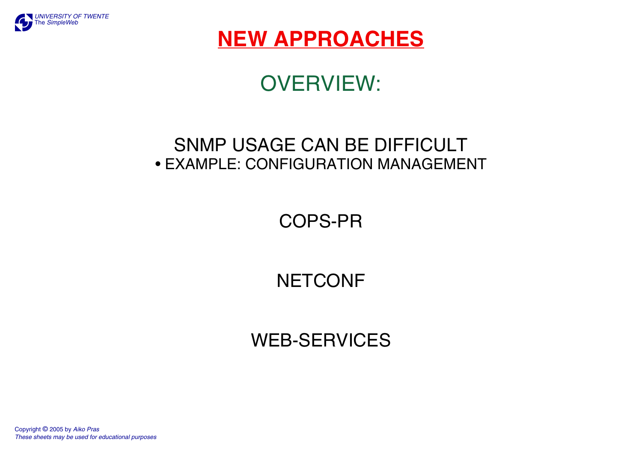

## **NEW APPROACHES**

# OVERVIEW:

### SNMP USAGE CAN BE DIFFICULT • EXAMPLE: CONFIGURATION MANAGEMENT

COPS-PR

## **NETCONF**

### WEB-SERVICES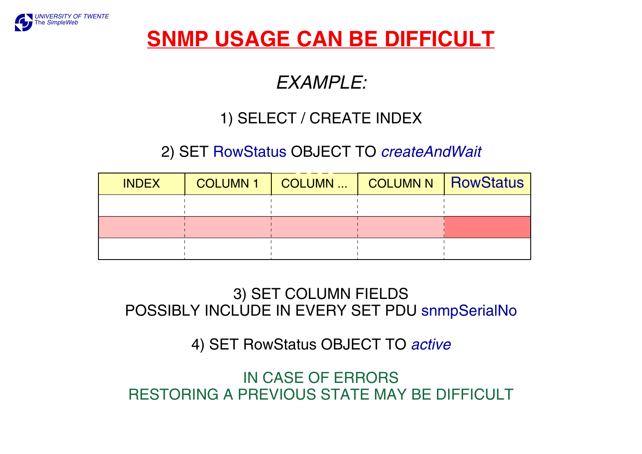

## **SNMP USAGE CAN BE DIFFICULT**

### *EXAMPLE:*

### 1) SELECT / CREATE INDEX

### 2) SET RowStatus OBJECT TO *createAndWait*

| <b>INDEX</b> | COLUMN 1   COLUMN    COLUMN N   RowStatus |  |
|--------------|-------------------------------------------|--|
|              |                                           |  |
|              |                                           |  |
|              |                                           |  |

### 3) SET COLUMN FIELDS POSSIBLY INCLUDE IN EVERY SET PDU snmpSerialNo

#### 4) SET RowStatus OBJECT TO *active*

IN CASE OF ERRORS RESTORING A PREVIOUS STATE MAY BE DIFFICULT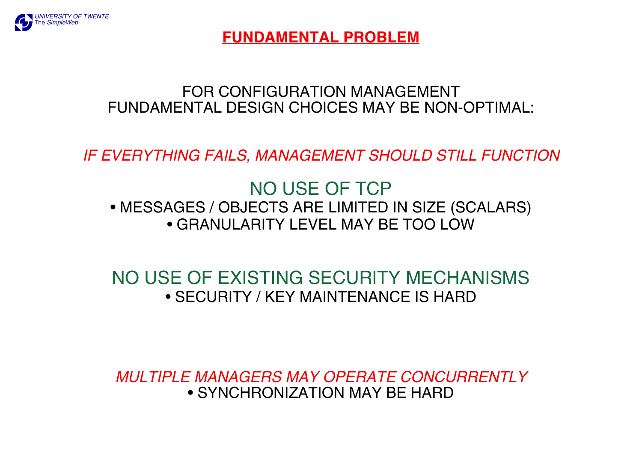

**FUNDAMENTAL PROBLEM**

#### FOR CONFIGURATION MANAGEMENT FUNDAMENTAL DESIGN CHOICES MAY BE NON-OPTIMAL:

*IF EVERYTHING FAILS, MANAGEMENT SHOULD STILL FUNCTION*

### NO USE OF TCP • MESSAGES / OBJECTS ARE LIMITED IN SIZE (SCALARS) • GRANULARITY LEVEL MAY BE TOO LOW

### NO USE OF EXISTING SECURITY MECHANISMS • SECURITY / KEY MAINTENANCE IS HARD

*MULTIPLE MANAGERS MAY OPERATE CONCURRENTLY* • SYNCHRONIZATION MAY BE HARD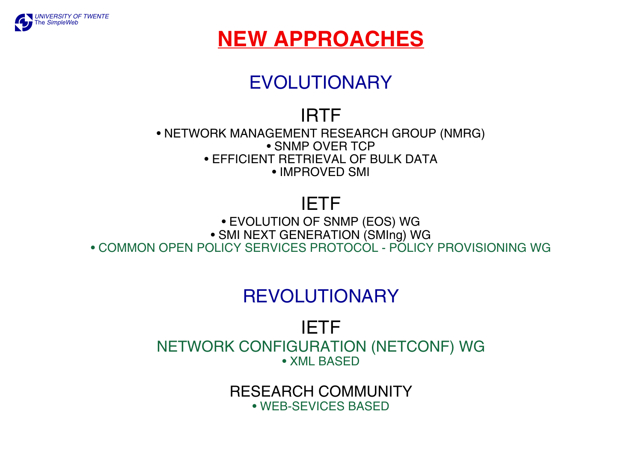

## **NEW APPROACHES**

## EVOLUTIONARY

### IRTF

• NETWORK MANAGEMENT RESEARCH GROUP (NMRG) • SNMP OVER TCP • EFFICIENT RETRIEVAL OF BULK DATA • IMPROVED SMI

### IETF

• EVOLUTION OF SNMP (EOS) WG • SMI NEXT GENERATION (SMIng) WG • COMMON OPEN POLICY SERVICES PROTOCOL - POLICY PROVISIONING WG

## REVOLUTIONARY

IETF NETWORK CONFIGURATION (NETCONF) WG • XML BASED

> RESEARCH COMMUNITY • WEB-SEVICES BASED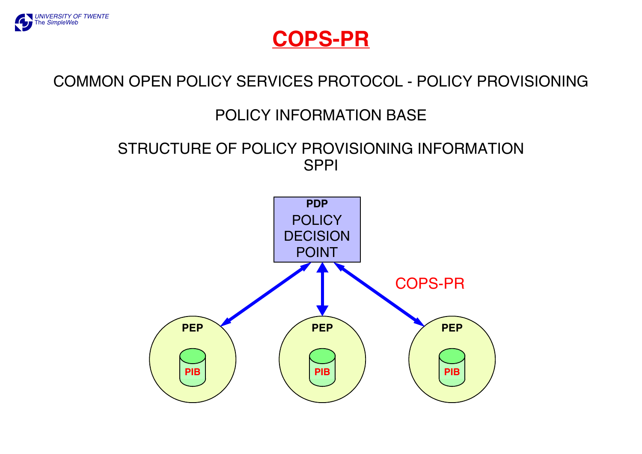

### **COPS-PR**

### COMMON OPEN POLICY SERVICES PROTOCOL - POLICY PROVISIONING

### POLICY INFORMATION BASE

#### STRUCTURE OF POLICY PROVISIONING INFORMATION SPPI

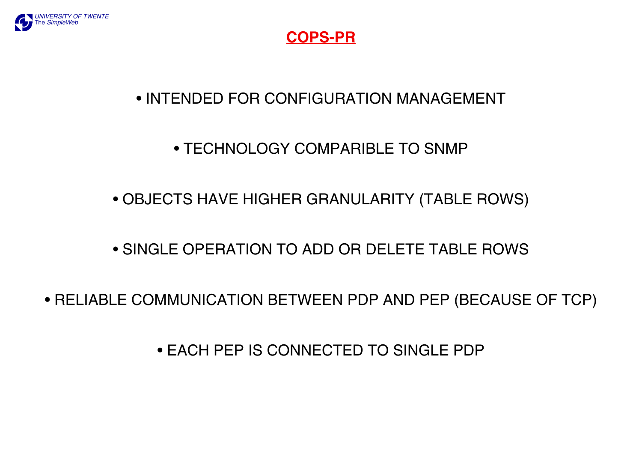

#### **COPS-PR**

### • INTENDED FOR CONFIGURATION MANAGEMENT

### • TECHNOLOGY COMPARIBLE TO SNMP

### • OBJECTS HAVE HIGHER GRANULARITY (TABLE ROWS)

#### • SINGLE OPERATION TO ADD OR DELETE TABLE ROWS

#### • RELIABLE COMMUNICATION BETWEEN PDP AND PEP (BECAUSE OF TCP)

• EACH PEP IS CONNECTED TO SINGLE PDP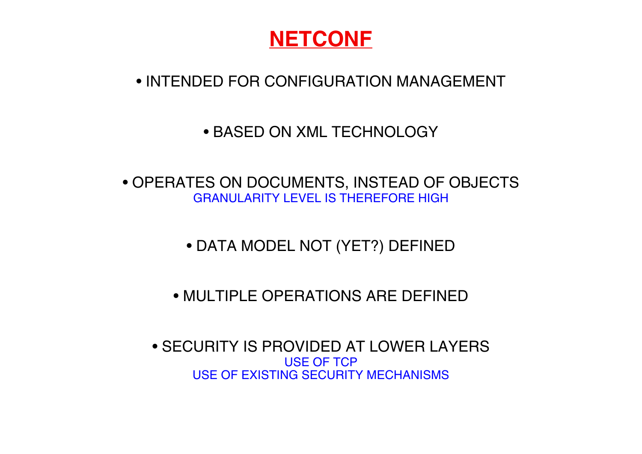

### • INTENDED FOR CONFIGURATION MANAGEMENT

#### • BASED ON XML TECHNOLOGY

• OPERATES ON DOCUMENTS, INSTEAD OF OBJECTS GRANULARITY LEVEL IS THEREFORE HIGH

• DATA MODEL NOT (YET?) DEFINED

• MULTIPLE OPERATIONS ARE DEFINED

• SECURITY IS PROVIDED AT LOWER LAYERS USE OF TCP USE OF EXISTING SECURITY MECHANISMS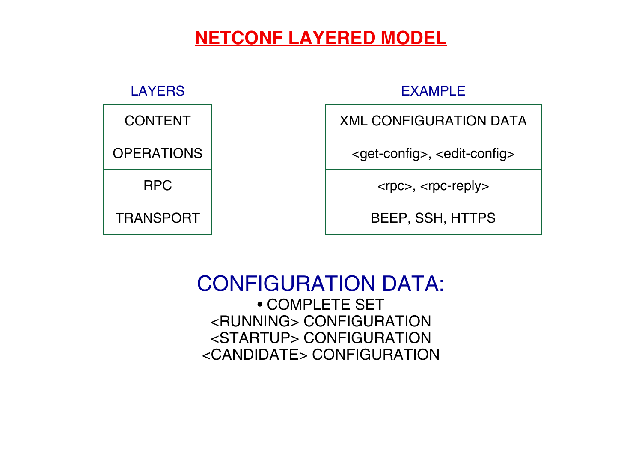### **NETCONF LAYERED MODEL**



### CONFIGURATION DATA: • COMPLETE SET <RUNNING> CONFIGURATION <STARTUP> CONFIGURATION <CANDIDATE> CONFIGURATION